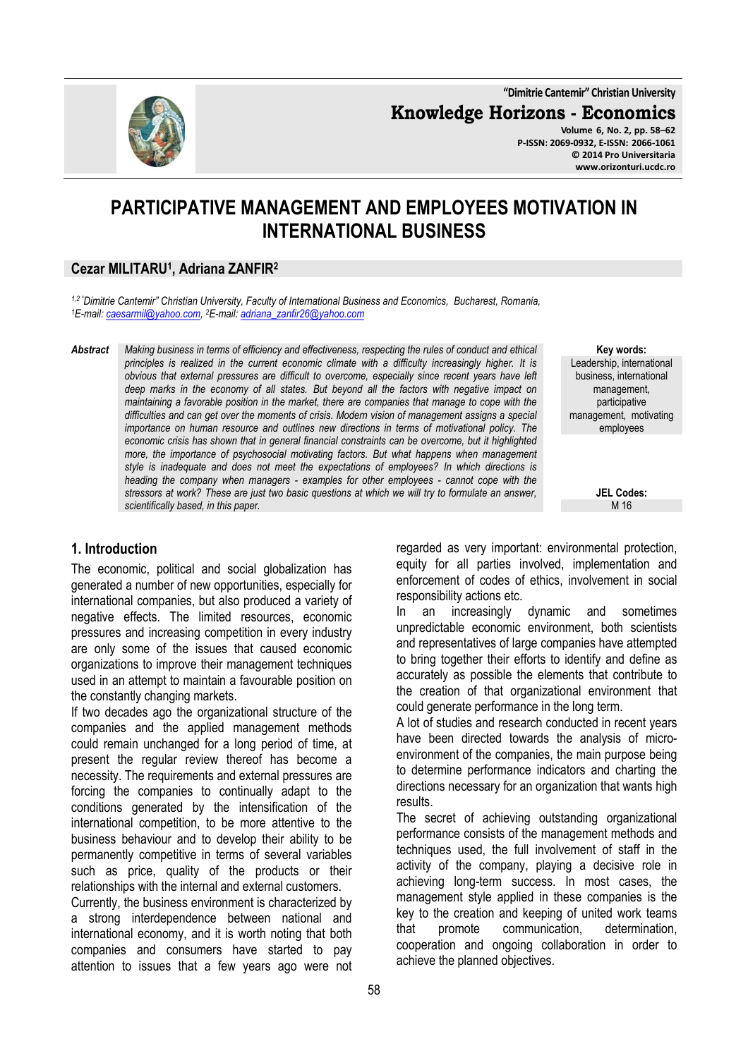**"Dimitrie Cantemir" Christian University**

**Knowledge Horizons - Economics**

**Volume 6, No. 2, pp. 58–62 P-ISSN: 2069-0932, E-ISSN: 2066-1061 © 2014 Pro Universitaria www.orizonturi.ucdc.ro**

# **PARTICIPATIVE MANAGEMENT AND EMPLOYEES MOTIVATION IN INTERNATIONAL BUSINESS**

### **Cezar MILITARU<sup>1</sup> , Adriana ZANFIR<sup>2</sup>**

*1,2 "Dimitrie Cantemir" Christian University, Faculty of International Business and Economics, Bucharest, Romania, <sup>1</sup>E-mail: caesarmil@yahoo.com, <sup>2</sup>E-mail: adriana\_zanfir26@yahoo.com* 

*Abstract Making business in terms of efficiency and effectiveness, respecting the rules of conduct and ethical principles is realized in the current economic climate with a difficulty increasingly higher. It is obvious that external pressures are difficult to overcome, especially since recent years have left deep marks in the economy of all states. But beyond all the factors with negative impact on maintaining a favorable position in the market, there are companies that manage to cope with the difficulties and can get over the moments of crisis. Modern vision of management assigns a special importance on human resource and outlines new directions in terms of motivational policy. The economic crisis has shown that in general financial constraints can be overcome, but it highlighted more, the importance of psychosocial motivating factors. But what happens when management style is inadequate and does not meet the expectations of employees? In which directions is heading the company when managers - examples for other employees - cannot cope with the stressors at work? These are just two basic questions at which we will try to formulate an answer, scientifically based, in this paper.* 

#### **Key words:** Leadership, international business, international management, participative management, motivating employees

**JEL Codes:** M 16

### **1. Introduction**

The economic, political and social globalization has generated a number of new opportunities, especially for international companies, but also produced a variety of negative effects. The limited resources, economic pressures and increasing competition in every industry are only some of the issues that caused economic organizations to improve their management techniques used in an attempt to maintain a favourable position on the constantly changing markets.

If two decades ago the organizational structure of the companies and the applied management methods could remain unchanged for a long period of time, at present the regular review thereof has become a necessity. The requirements and external pressures are forcing the companies to continually adapt to the conditions generated by the intensification of the international competition, to be more attentive to the business behaviour and to develop their ability to be permanently competitive in terms of several variables such as price, quality of the products or their relationships with the internal and external customers.

Currently, the business environment is characterized by a strong interdependence between national and international economy, and it is worth noting that both companies and consumers have started to pay attention to issues that a few years ago were not regarded as very important: environmental protection, equity for all parties involved, implementation and enforcement of codes of ethics, involvement in social responsibility actions etc.

In an increasingly dynamic and sometimes unpredictable economic environment, both scientists and representatives of large companies have attempted to bring together their efforts to identify and define as accurately as possible the elements that contribute to the creation of that organizational environment that could generate performance in the long term.

A lot of studies and research conducted in recent years have been directed towards the analysis of microenvironment of the companies, the main purpose being to determine performance indicators and charting the directions necessary for an organization that wants high results.

The secret of achieving outstanding organizational performance consists of the management methods and techniques used, the full involvement of staff in the activity of the company, playing a decisive role in achieving long-term success. In most cases, the management style applied in these companies is the key to the creation and keeping of united work teams<br>that promote communication. determination. that promote communication, determination, cooperation and ongoing collaboration in order to achieve the planned objectives.

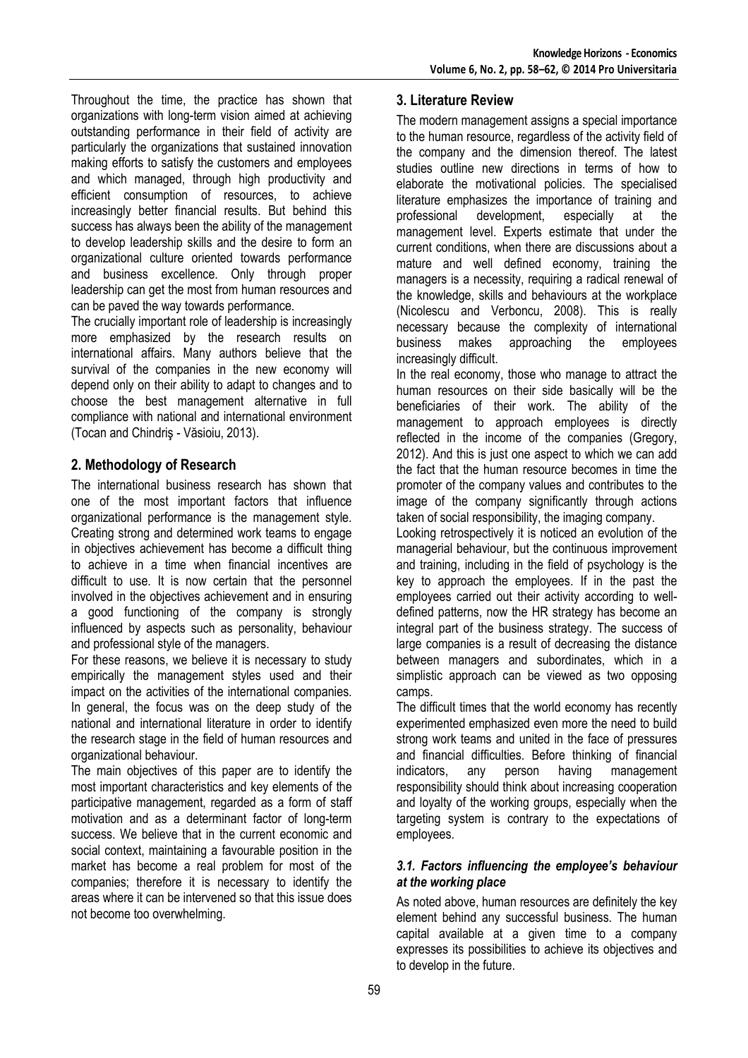Throughout the time, the practice has shown that organizations with long-term vision aimed at achieving outstanding performance in their field of activity are particularly the organizations that sustained innovation making efforts to satisfy the customers and employees and which managed, through high productivity and efficient consumption of resources, to achieve increasingly better financial results. But behind this success has always been the ability of the management to develop leadership skills and the desire to form an organizational culture oriented towards performance and business excellence. Only through proper leadership can get the most from human resources and can be paved the way towards performance.

The crucially important role of leadership is increasingly more emphasized by the research results on international affairs. Many authors believe that the survival of the companies in the new economy will depend only on their ability to adapt to changes and to choose the best management alternative in full compliance with national and international environment (Tocan and Chindriş - Văsioiu, 2013).

### **2. Methodology of Research**

The international business research has shown that one of the most important factors that influence organizational performance is the management style. Creating strong and determined work teams to engage in objectives achievement has become a difficult thing to achieve in a time when financial incentives are difficult to use. It is now certain that the personnel involved in the objectives achievement and in ensuring a good functioning of the company is strongly influenced by aspects such as personality, behaviour and professional style of the managers.

For these reasons, we believe it is necessary to study empirically the management styles used and their impact on the activities of the international companies. In general, the focus was on the deep study of the national and international literature in order to identify the research stage in the field of human resources and organizational behaviour.

The main objectives of this paper are to identify the most important characteristics and key elements of the participative management, regarded as a form of staff motivation and as a determinant factor of long-term success. We believe that in the current economic and social context, maintaining a favourable position in the market has become a real problem for most of the companies; therefore it is necessary to identify the areas where it can be intervened so that this issue does not become too overwhelming.

#### **3. Literature Review**

The modern management assigns a special importance to the human resource, regardless of the activity field of the company and the dimension thereof. The latest studies outline new directions in terms of how to elaborate the motivational policies. The specialised literature emphasizes the importance of training and professional development, especially at the management level. Experts estimate that under the current conditions, when there are discussions about a mature and well defined economy, training the managers is a necessity, requiring a radical renewal of the knowledge, skills and behaviours at the workplace (Nicolescu and Verboncu, 2008). This is really necessary because the complexity of international<br>business makes approaching the employees business makes approaching the employees increasingly difficult.

In the real economy, those who manage to attract the human resources on their side basically will be the beneficiaries of their work. The ability of the management to approach employees is directly reflected in the income of the companies (Gregory, 2012). And this is just one aspect to which we can add the fact that the human resource becomes in time the promoter of the company values and contributes to the image of the company significantly through actions taken of social responsibility, the imaging company.

Looking retrospectively it is noticed an evolution of the managerial behaviour, but the continuous improvement and training, including in the field of psychology is the key to approach the employees. If in the past the employees carried out their activity according to welldefined patterns, now the HR strategy has become an integral part of the business strategy. The success of large companies is a result of decreasing the distance between managers and subordinates, which in a simplistic approach can be viewed as two opposing camps.

The difficult times that the world economy has recently experimented emphasized even more the need to build strong work teams and united in the face of pressures and financial difficulties. Before thinking of financial indicators, any person having management responsibility should think about increasing cooperation and loyalty of the working groups, especially when the targeting system is contrary to the expectations of employees.

#### *3.1. Factors influencing the employee's behaviour at the working place*

As noted above, human resources are definitely the key element behind any successful business. The human capital available at a given time to a company expresses its possibilities to achieve its objectives and to develop in the future.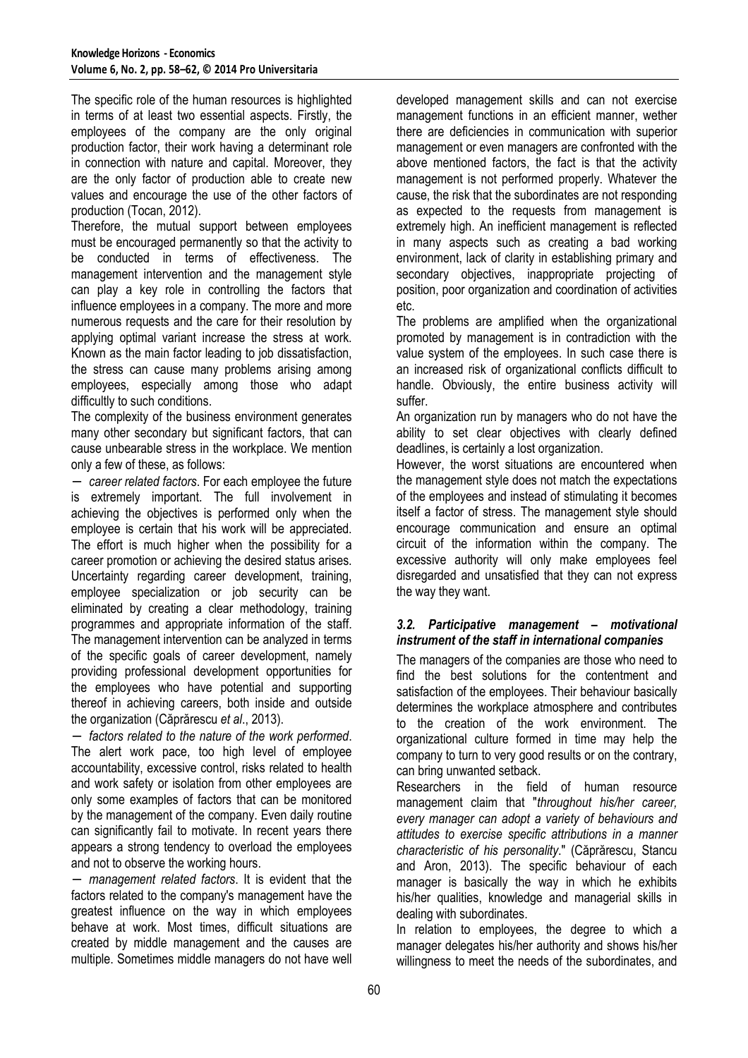The specific role of the human resources is highlighted in terms of at least two essential aspects. Firstly, the employees of the company are the only original production factor, their work having a determinant role in connection with nature and capital. Moreover, they are the only factor of production able to create new values and encourage the use of the other factors of production (Tocan, 2012).

Therefore, the mutual support between employees must be encouraged permanently so that the activity to be conducted in terms of effectiveness. The management intervention and the management style can play a key role in controlling the factors that influence employees in a company. The more and more numerous requests and the care for their resolution by applying optimal variant increase the stress at work. Known as the main factor leading to job dissatisfaction, the stress can cause many problems arising among employees, especially among those who adapt difficultly to such conditions.

The complexity of the business environment generates many other secondary but significant factors, that can cause unbearable stress in the workplace. We mention only a few of these, as follows:

− *career related factors*. For each employee the future is extremely important. The full involvement in achieving the objectives is performed only when the employee is certain that his work will be appreciated. The effort is much higher when the possibility for a career promotion or achieving the desired status arises. Uncertainty regarding career development, training, employee specialization or job security can be eliminated by creating a clear methodology, training programmes and appropriate information of the staff. The management intervention can be analyzed in terms of the specific goals of career development, namely providing professional development opportunities for the employees who have potential and supporting thereof in achieving careers, both inside and outside the organization (Căprărescu *et al*., 2013).

− *factors related to the nature of the work performed*. The alert work pace, too high level of employee accountability, excessive control, risks related to health and work safety or isolation from other employees are only some examples of factors that can be monitored by the management of the company. Even daily routine can significantly fail to motivate. In recent years there appears a strong tendency to overload the employees and not to observe the working hours.

− *management related factors*. It is evident that the factors related to the company's management have the greatest influence on the way in which employees behave at work. Most times, difficult situations are created by middle management and the causes are multiple. Sometimes middle managers do not have well developed management skills and can not exercise management functions in an efficient manner, wether there are deficiencies in communication with superior management or even managers are confronted with the above mentioned factors, the fact is that the activity management is not performed properly. Whatever the cause, the risk that the subordinates are not responding as expected to the requests from management is extremely high. An inefficient management is reflected in many aspects such as creating a bad working environment, lack of clarity in establishing primary and secondary objectives, inappropriate projecting of position, poor organization and coordination of activities etc.

The problems are amplified when the organizational promoted by management is in contradiction with the value system of the employees. In such case there is an increased risk of organizational conflicts difficult to handle. Obviously, the entire business activity will suffer.

An organization run by managers who do not have the ability to set clear objectives with clearly defined deadlines, is certainly a lost organization.

However, the worst situations are encountered when the management style does not match the expectations of the employees and instead of stimulating it becomes itself a factor of stress. The management style should encourage communication and ensure an optimal circuit of the information within the company. The excessive authority will only make employees feel disregarded and unsatisfied that they can not express the way they want.

#### *3.2. Participative management – motivational instrument of the staff in international companies*

The managers of the companies are those who need to find the best solutions for the contentment and satisfaction of the employees. Their behaviour basically determines the workplace atmosphere and contributes to the creation of the work environment. The organizational culture formed in time may help the company to turn to very good results or on the contrary, can bring unwanted setback.

Researchers in the field of human resource management claim that "*throughout his/her career, every manager can adopt a variety of behaviours and attitudes to exercise specific attributions in a manner characteristic of his personality*." (Căprărescu, Stancu and Aron, 2013). The specific behaviour of each manager is basically the way in which he exhibits his/her qualities, knowledge and managerial skills in dealing with subordinates.

In relation to employees, the degree to which a manager delegates his/her authority and shows his/her willingness to meet the needs of the subordinates, and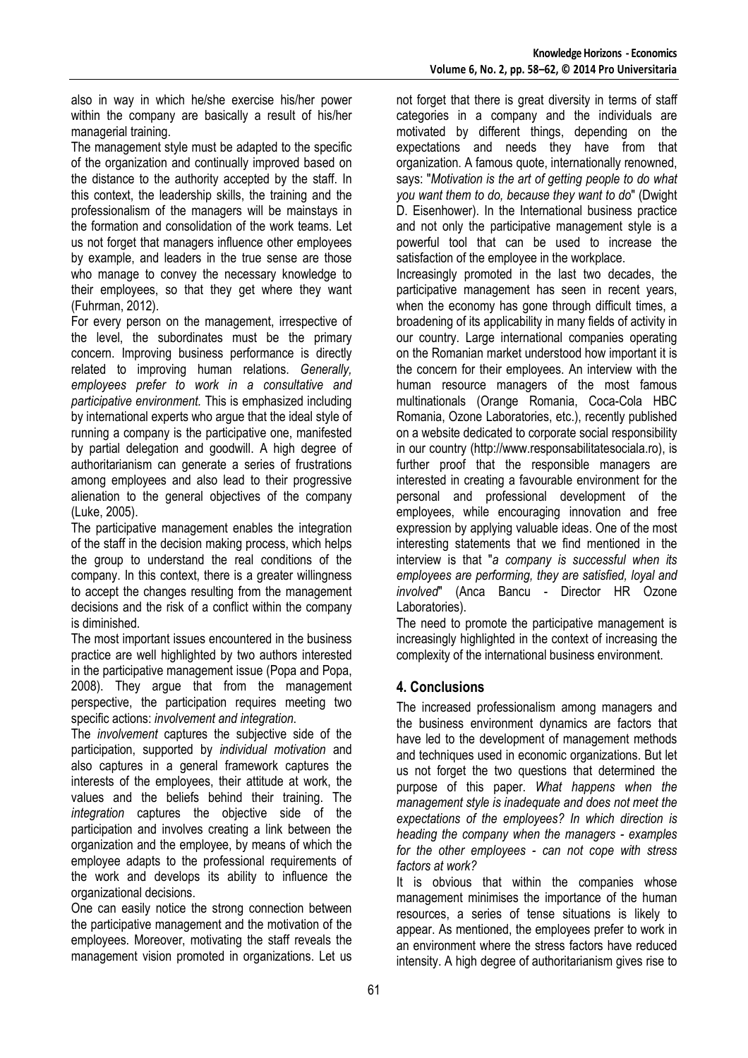also in way in which he/she exercise his/her power within the company are basically a result of his/her managerial training.

The management style must be adapted to the specific of the organization and continually improved based on the distance to the authority accepted by the staff. In this context, the leadership skills, the training and the professionalism of the managers will be mainstays in the formation and consolidation of the work teams. Let us not forget that managers influence other employees by example, and leaders in the true sense are those who manage to convey the necessary knowledge to their employees, so that they get where they want (Fuhrman, 2012).

For every person on the management, irrespective of the level, the subordinates must be the primary concern. Improving business performance is directly related to improving human relations. *Generally, employees prefer to work in a consultative and participative environment.* This is emphasized including by international experts who argue that the ideal style of running a company is the participative one, manifested by partial delegation and goodwill. A high degree of authoritarianism can generate a series of frustrations among employees and also lead to their progressive alienation to the general objectives of the company (Luke, 2005).

The participative management enables the integration of the staff in the decision making process, which helps the group to understand the real conditions of the company. In this context, there is a greater willingness to accept the changes resulting from the management decisions and the risk of a conflict within the company is diminished.

The most important issues encountered in the business practice are well highlighted by two authors interested in the participative management issue (Popa and Popa, 2008). They argue that from the management perspective, the participation requires meeting two specific actions: *involvement and integration*.

The *involvement* captures the subjective side of the participation, supported by *individual motivation* and also captures in a general framework captures the interests of the employees, their attitude at work, the values and the beliefs behind their training. The *integration* captures the objective side of the participation and involves creating a link between the organization and the employee, by means of which the employee adapts to the professional requirements of the work and develops its ability to influence the organizational decisions.

One can easily notice the strong connection between the participative management and the motivation of the employees. Moreover, motivating the staff reveals the management vision promoted in organizations. Let us

not forget that there is great diversity in terms of staff categories in a company and the individuals are motivated by different things, depending on the expectations and needs they have from that organization. A famous quote, internationally renowned, says: "*Motivation is the art of getting people to do what you want them to do, because they want to do*" (Dwight D. Eisenhower). In the International business practice and not only the participative management style is a powerful tool that can be used to increase the satisfaction of the employee in the workplace.

Increasingly promoted in the last two decades, the participative management has seen in recent years, when the economy has gone through difficult times, a broadening of its applicability in many fields of activity in our country. Large international companies operating on the Romanian market understood how important it is the concern for their employees. An interview with the human resource managers of the most famous multinationals (Orange Romania, Coca-Cola HBC Romania, Ozone Laboratories, etc.), recently published on a website dedicated to corporate social responsibility in our country (http://www.responsabilitatesociala.ro), is further proof that the responsible managers are interested in creating a favourable environment for the personal and professional development of the employees, while encouraging innovation and free expression by applying valuable ideas. One of the most interesting statements that we find mentioned in the interview is that "*a company is successful when its employees are performing, they are satisfied, loyal and involved*" (Anca Bancu - Director HR Ozone Laboratories).

The need to promote the participative management is increasingly highlighted in the context of increasing the complexity of the international business environment.

## **4. Conclusions**

The increased professionalism among managers and the business environment dynamics are factors that have led to the development of management methods and techniques used in economic organizations. But let us not forget the two questions that determined the purpose of this paper. *What happens when the management style is inadequate and does not meet the expectations of the employees? In which direction is heading the company when the managers - examples for the other employees - can not cope with stress factors at work?*

It is obvious that within the companies whose management minimises the importance of the human resources, a series of tense situations is likely to appear. As mentioned, the employees prefer to work in an environment where the stress factors have reduced intensity. A high degree of authoritarianism gives rise to